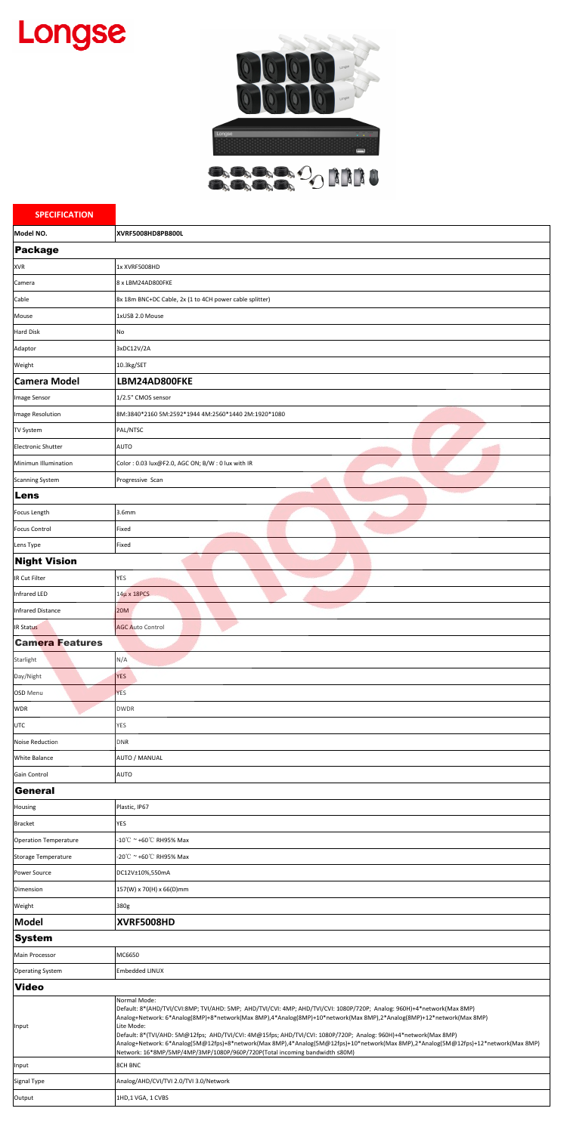## Longse



**BARBAO NNIU** 

| <b>SPECIFICATION</b>         |                                                                                                                                                                                                                                                                                                                                                                                                                                                                                                                                                                                                                      |
|------------------------------|----------------------------------------------------------------------------------------------------------------------------------------------------------------------------------------------------------------------------------------------------------------------------------------------------------------------------------------------------------------------------------------------------------------------------------------------------------------------------------------------------------------------------------------------------------------------------------------------------------------------|
| Model NO.                    | XVRF5008HD8PB800L                                                                                                                                                                                                                                                                                                                                                                                                                                                                                                                                                                                                    |
| Package                      |                                                                                                                                                                                                                                                                                                                                                                                                                                                                                                                                                                                                                      |
| <b>XVR</b>                   | 1x XVRF5008HD                                                                                                                                                                                                                                                                                                                                                                                                                                                                                                                                                                                                        |
| Camera                       | 8 x LBM24AD800FKE                                                                                                                                                                                                                                                                                                                                                                                                                                                                                                                                                                                                    |
| Cable                        | 8x 18m BNC+DC Cable, 2x (1 to 4CH power cable splitter)                                                                                                                                                                                                                                                                                                                                                                                                                                                                                                                                                              |
| Mouse                        | 1xUSB 2.0 Mouse                                                                                                                                                                                                                                                                                                                                                                                                                                                                                                                                                                                                      |
| <b>Hard Disk</b>             | No                                                                                                                                                                                                                                                                                                                                                                                                                                                                                                                                                                                                                   |
| Adaptor                      | 3xDC12V/2A                                                                                                                                                                                                                                                                                                                                                                                                                                                                                                                                                                                                           |
| Weight                       | 10.3kg/SET                                                                                                                                                                                                                                                                                                                                                                                                                                                                                                                                                                                                           |
| <b>Camera Model</b>          | LBM24AD800FKE                                                                                                                                                                                                                                                                                                                                                                                                                                                                                                                                                                                                        |
| Image Sensor                 | 1/2.5" CMOS sensor                                                                                                                                                                                                                                                                                                                                                                                                                                                                                                                                                                                                   |
| Image Resolution             | 8M:3840*2160 5M:2592*1944 4M:2560*1440 2M:1920*1080                                                                                                                                                                                                                                                                                                                                                                                                                                                                                                                                                                  |
| <b>TV System</b>             | PAL/NTSC                                                                                                                                                                                                                                                                                                                                                                                                                                                                                                                                                                                                             |
| <b>Electronic Shutter</b>    | <b>AUTO</b>                                                                                                                                                                                                                                                                                                                                                                                                                                                                                                                                                                                                          |
| Minimun Illumination         | Color: 0.03 lux@F2.0, AGC ON; B/W: 0 lux with IR                                                                                                                                                                                                                                                                                                                                                                                                                                                                                                                                                                     |
| <b>Scanning System</b>       | Progressive Scan                                                                                                                                                                                                                                                                                                                                                                                                                                                                                                                                                                                                     |
| Lens                         |                                                                                                                                                                                                                                                                                                                                                                                                                                                                                                                                                                                                                      |
| Focus Length                 | 3.6mm                                                                                                                                                                                                                                                                                                                                                                                                                                                                                                                                                                                                                |
| <b>Focus Control</b>         | Fixed                                                                                                                                                                                                                                                                                                                                                                                                                                                                                                                                                                                                                |
| Lens Type                    | Fixed                                                                                                                                                                                                                                                                                                                                                                                                                                                                                                                                                                                                                |
| <b>Night Vision</b>          |                                                                                                                                                                                                                                                                                                                                                                                                                                                                                                                                                                                                                      |
| IR Cut Filter                | <b>YES</b>                                                                                                                                                                                                                                                                                                                                                                                                                                                                                                                                                                                                           |
| Infrared LED                 | $14\mu$ x 18PCS                                                                                                                                                                                                                                                                                                                                                                                                                                                                                                                                                                                                      |
| <b>Infrared Distance</b>     | <b>20M</b>                                                                                                                                                                                                                                                                                                                                                                                                                                                                                                                                                                                                           |
| <b>IR Status</b>             | <b>AGC Auto Control</b>                                                                                                                                                                                                                                                                                                                                                                                                                                                                                                                                                                                              |
| <b>Camera Features</b>       |                                                                                                                                                                                                                                                                                                                                                                                                                                                                                                                                                                                                                      |
| Starlight                    | N/A                                                                                                                                                                                                                                                                                                                                                                                                                                                                                                                                                                                                                  |
| Day/Night                    | <b>YES</b>                                                                                                                                                                                                                                                                                                                                                                                                                                                                                                                                                                                                           |
| <b>OSD</b> Menu              | <b>YES</b>                                                                                                                                                                                                                                                                                                                                                                                                                                                                                                                                                                                                           |
| <b>WDR</b>                   | <b>DWDR</b>                                                                                                                                                                                                                                                                                                                                                                                                                                                                                                                                                                                                          |
| <b>UTC</b>                   | YES                                                                                                                                                                                                                                                                                                                                                                                                                                                                                                                                                                                                                  |
| Noise Reduction              | DNR                                                                                                                                                                                                                                                                                                                                                                                                                                                                                                                                                                                                                  |
| <b>White Balance</b>         | <b>AUTO / MANUAL</b>                                                                                                                                                                                                                                                                                                                                                                                                                                                                                                                                                                                                 |
| <b>Gain Control</b>          | <b>AUTO</b>                                                                                                                                                                                                                                                                                                                                                                                                                                                                                                                                                                                                          |
| General                      |                                                                                                                                                                                                                                                                                                                                                                                                                                                                                                                                                                                                                      |
| Housing                      | Plastic, IP67                                                                                                                                                                                                                                                                                                                                                                                                                                                                                                                                                                                                        |
| <b>Bracket</b>               | <b>YES</b>                                                                                                                                                                                                                                                                                                                                                                                                                                                                                                                                                                                                           |
| <b>Operation Temperature</b> | $-10^{\circ}$ C ~ +60 $^{\circ}$ C RH95% Max                                                                                                                                                                                                                                                                                                                                                                                                                                                                                                                                                                         |
| <b>Storage Temperature</b>   | -20℃ ~ +60℃ RH95% Max                                                                                                                                                                                                                                                                                                                                                                                                                                                                                                                                                                                                |
| Power Source                 | DC12V±10%,550mA                                                                                                                                                                                                                                                                                                                                                                                                                                                                                                                                                                                                      |
| Dimension                    | 157(W) x 70(H) x 66(D)mm                                                                                                                                                                                                                                                                                                                                                                                                                                                                                                                                                                                             |
| Weight                       | 380g                                                                                                                                                                                                                                                                                                                                                                                                                                                                                                                                                                                                                 |
| Model                        | XVRF5008HD                                                                                                                                                                                                                                                                                                                                                                                                                                                                                                                                                                                                           |
| <b>System</b>                |                                                                                                                                                                                                                                                                                                                                                                                                                                                                                                                                                                                                                      |
| Main Processor               | MC6650                                                                                                                                                                                                                                                                                                                                                                                                                                                                                                                                                                                                               |
| <b>Operating System</b>      | <b>Embedded LINUX</b>                                                                                                                                                                                                                                                                                                                                                                                                                                                                                                                                                                                                |
| <b>Video</b>                 |                                                                                                                                                                                                                                                                                                                                                                                                                                                                                                                                                                                                                      |
| Input                        | Normal Mode:<br>Default: 8*(AHD/TVI/CVI:8MP; TVI/AHD: 5MP; AHD/TVI/CVI: 4MP; AHD/TVI/CVI: 1080P/720P; Analog: 960H)+4*network(Max 8MP)<br>Analog+Network: 6*Analog(8MP)+8*network(Max 8MP),4*Analog(8MP)+10*network(Max 8MP),2*Analog(8MP)+12*network(Max 8MP)<br>Lite Mode:<br>Default: 8*(TVI/AHD: 5M@12fps; AHD/TVI/CVI: 4M@15fps; AHD/TVI/CVI: 1080P/720P; Analog: 960H)+4*network(Max 8MP)<br>Analog+Network: 6*Analog(5M@12fps)+8*network(Max 8MP),4*Analog(5M@12fps)+10*network(Max 8MP),2*Analog(5M@12fps)+12*network(Max 8MP)<br>Network: 16*8MP/5MP/4MP/3MP/1080P/960P/720P(Total incoming bandwidth ≤80M) |
| Input                        | <b>8CH BNC</b>                                                                                                                                                                                                                                                                                                                                                                                                                                                                                                                                                                                                       |
| Signal Type                  | Analog/AHD/CVI/TVI 2.0/TVI 3.0/Network                                                                                                                                                                                                                                                                                                                                                                                                                                                                                                                                                                               |
| Output                       | 1HD,1 VGA, 1 CVBS                                                                                                                                                                                                                                                                                                                                                                                                                                                                                                                                                                                                    |